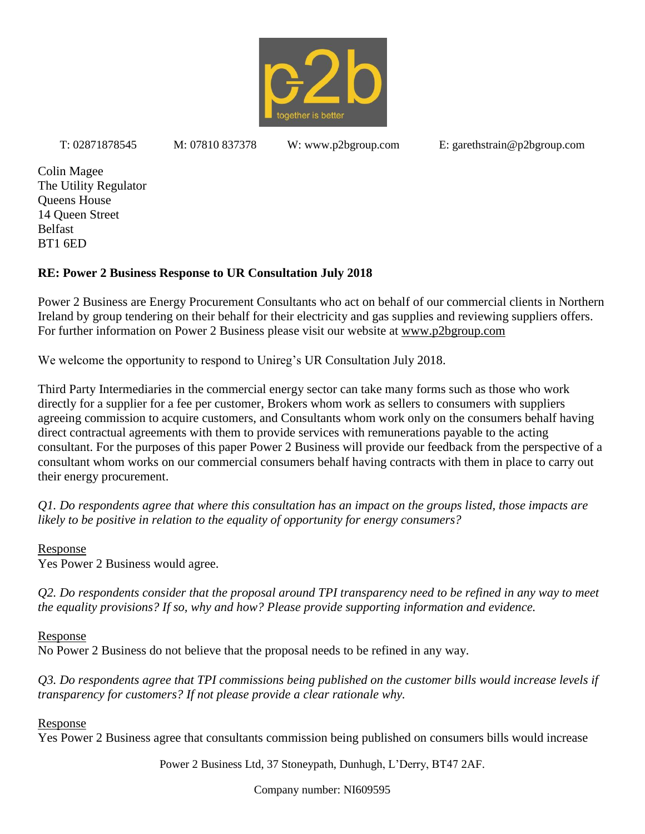

Colin Magee The Utility Regulator Queens House 14 Queen Street Belfast BT1 6ED

# **RE: Power 2 Business Response to UR Consultation July 2018**

Power 2 Business are Energy Procurement Consultants who act on behalf of our commercial clients in Northern Ireland by group tendering on their behalf for their electricity and gas supplies and reviewing suppliers offers. For further information on Power 2 Business please visit our website at www.p2bgroup.com

We welcome the opportunity to respond to Unireg's UR Consultation July 2018.

Third Party Intermediaries in the commercial energy sector can take many forms such as those who work directly for a supplier for a fee per customer, Brokers whom work as sellers to consumers with suppliers agreeing commission to acquire customers, and Consultants whom work only on the consumers behalf having direct contractual agreements with them to provide services with remunerations payable to the acting consultant. For the purposes of this paper Power 2 Business will provide our feedback from the perspective of a consultant whom works on our commercial consumers behalf having contracts with them in place to carry out their energy procurement.

*Q1. Do respondents agree that where this consultation has an impact on the groups listed, those impacts are likely to be positive in relation to the equality of opportunity for energy consumers?*

Response

Yes Power 2 Business would agree.

*Q2. Do respondents consider that the proposal around TPI transparency need to be refined in any way to meet the equality provisions? If so, why and how? Please provide supporting information and evidence.*

Response

No Power 2 Business do not believe that the proposal needs to be refined in any way.

*Q3. Do respondents agree that TPI commissions being published on the customer bills would increase levels if transparency for customers? If not please provide a clear rationale why.*

Response

Yes Power 2 Business agree that consultants commission being published on consumers bills would increase

Power 2 Business Ltd, 37 Stoneypath, Dunhugh, L'Derry, BT47 2AF.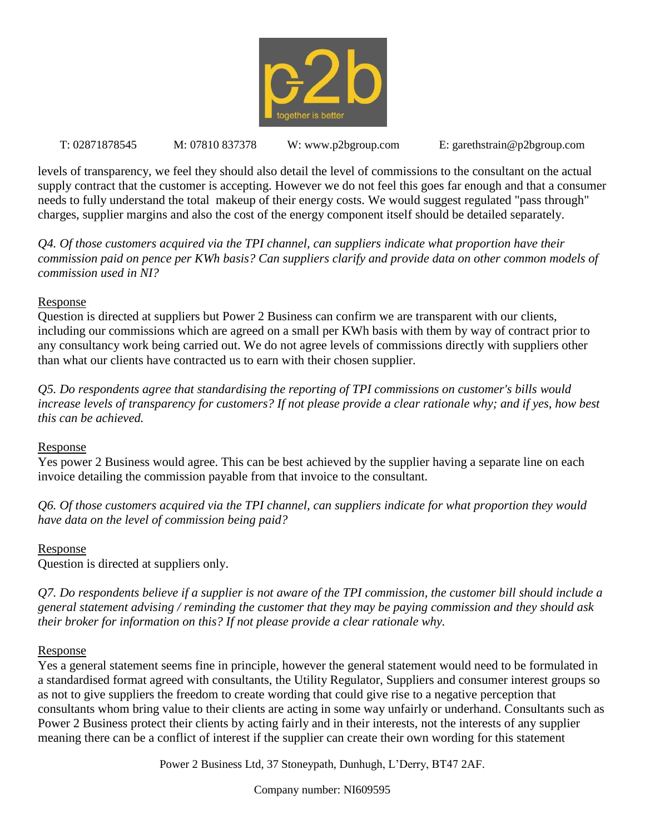

levels of transparency, we feel they should also detail the level of commissions to the consultant on the actual supply contract that the customer is accepting. However we do not feel this goes far enough and that a consumer needs to fully understand the total makeup of their energy costs. We would suggest regulated "pass through" charges, supplier margins and also the cost of the energy component itself should be detailed separately.

*Q4. Of those customers acquired via the TPI channel, can suppliers indicate what proportion have their commission paid on pence per KWh basis? Can suppliers clarify and provide data on other common models of commission used in NI?*

### Response

Question is directed at suppliers but Power 2 Business can confirm we are transparent with our clients, including our commissions which are agreed on a small per KWh basis with them by way of contract prior to any consultancy work being carried out. We do not agree levels of commissions directly with suppliers other than what our clients have contracted us to earn with their chosen supplier.

*Q5. Do respondents agree that standardising the reporting of TPI commissions on customer's bills would increase levels of transparency for customers? If not please provide a clear rationale why; and if yes, how best this can be achieved.*

#### Response

Yes power 2 Business would agree. This can be best achieved by the supplier having a separate line on each invoice detailing the commission payable from that invoice to the consultant.

*Q6. Of those customers acquired via the TPI channel, can suppliers indicate for what proportion they would have data on the level of commission being paid?*

## Response

Question is directed at suppliers only.

*Q7. Do respondents believe if a supplier is not aware of the TPI commission, the customer bill should include a general statement advising / reminding the customer that they may be paying commission and they should ask their broker for information on this? If not please provide a clear rationale why.*

#### Response

Yes a general statement seems fine in principle, however the general statement would need to be formulated in a standardised format agreed with consultants, the Utility Regulator, Suppliers and consumer interest groups so as not to give suppliers the freedom to create wording that could give rise to a negative perception that consultants whom bring value to their clients are acting in some way unfairly or underhand. Consultants such as Power 2 Business protect their clients by acting fairly and in their interests, not the interests of any supplier meaning there can be a conflict of interest if the supplier can create their own wording for this statement

Power 2 Business Ltd, 37 Stoneypath, Dunhugh, L'Derry, BT47 2AF.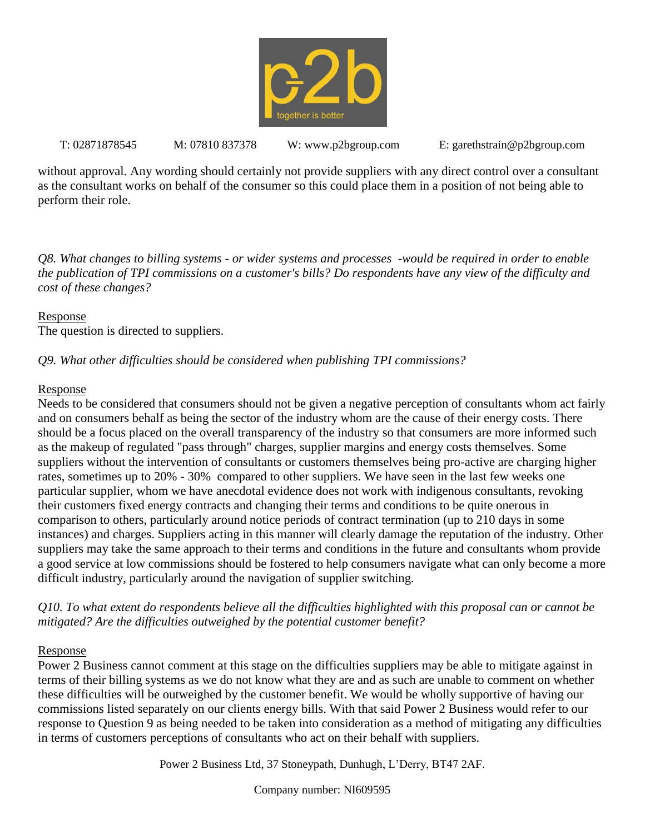

without approval. Any wording should certainly not provide suppliers with any direct control over a consultant as the consultant works on behalf of the consumer so this could place them in a position of not being able to perform their role.

*Q8. What changes to billing systems - or wider systems and processes -would be required in order to enable the publication of TPI commissions on a customer's bills? Do respondents have any view of the difficulty and cost of these changes?*

### Response

The question is directed to suppliers.

# *Q9. What other difficulties should be considered when publishing TPI commissions?*

### Response

Needs to be considered that consumers should not be given a negative perception of consultants whom act fairly and on consumers behalf as being the sector of the industry whom are the cause of their energy costs. There should be a focus placed on the overall transparency of the industry so that consumers are more informed such as the makeup of regulated "pass through" charges, supplier margins and energy costs themselves. Some suppliers without the intervention of consultants or customers themselves being pro-active are charging higher rates, sometimes up to 20% - 30% compared to other suppliers. We have seen in the last few weeks one particular supplier, whom we have anecdotal evidence does not work with indigenous consultants, revoking their customers fixed energy contracts and changing their terms and conditions to be quite onerous in comparison to others, particularly around notice periods of contract termination (up to 210 days in some instances) and charges. Suppliers acting in this manner will clearly damage the reputation of the industry. Other suppliers may take the same approach to their terms and conditions in the future and consultants whom provide a good service at low commissions should be fostered to help consumers navigate what can only become a more difficult industry, particularly around the navigation of supplier switching.

*Q10. To what extent do respondents believe all the difficulties highlighted with this proposal can or cannot be mitigated? Are the difficulties outweighed by the potential customer benefit?*

## Response

Power 2 Business cannot comment at this stage on the difficulties suppliers may be able to mitigate against in terms of their billing systems as we do not know what they are and as such are unable to comment on whether these difficulties will be outweighed by the customer benefit. We would be wholly supportive of having our commissions listed separately on our clients energy bills. With that said Power 2 Business would refer to our response to Question 9 as being needed to be taken into consideration as a method of mitigating any difficulties in terms of customers perceptions of consultants who act on their behalf with suppliers.

Power 2 Business Ltd, 37 Stoneypath, Dunhugh, L'Derry, BT47 2AF.